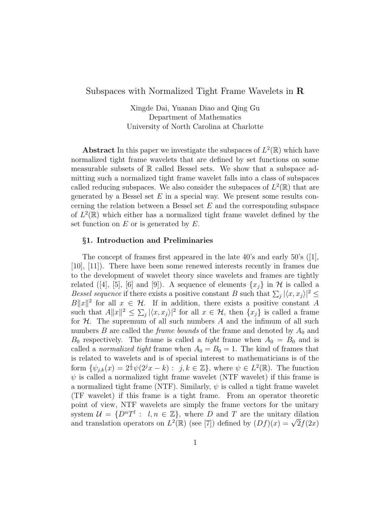# Subspaces with Normalized Tight Frame Wavelets in R

Xingde Dai, Yuanan Diao and Qing Gu Department of Mathematics University of North Carolina at Charlotte

**Abstract** In this paper we investigate the subspaces of  $L^2(\mathbb{R})$  which have normalized tight frame wavelets that are defined by set functions on some measurable subsets of R called Bessel sets. We show that a subspace admitting such a normalized tight frame wavelet falls into a class of subspaces called reducing subspaces. We also consider the subspaces of  $L^2(\mathbb{R})$  that are generated by a Bessel set  $E$  in a special way. We present some results concerning the relation between a Bessel set  $E$  and the corresponding subspace of  $L^2(\mathbb{R})$  which either has a normalized tight frame wavelet defined by the set function on  $E$  or is generated by  $E$ .

## §1. Introduction and Preliminaries

The concept of frames first appeared in the late  $40^{\circ}$ s and early  $50^{\circ}$ s ([1], [10], [11]). There have been some renewed interests recently in frames due to the development of wavelet theory since wavelets and frames are tightly related ([4], [5], [6] and [9]). A sequence of elements  $\{x_i\}$  in H is called a Bessel sequence if there exists a positive constant B such that  $\sum_j |\langle x, x_j \rangle|^2 \le$  $B||x||^2$  for all  $x \in \mathcal{H}$ . If in addition, there exists a positive constant A such that  $A||x||^2 \leq \sum_j |\langle x, x_j \rangle|^2$  for all  $x \in \mathcal{H}$ , then  $\{x_j\}$  is called a frame for  $H$ . The supremum of all such numbers A and the infimum of all such numbers  $B$  are called the *frame bounds* of the frame and denoted by  $A_0$  and  $B_0$  respectively. The frame is called a *tight* frame when  $A_0 = B_0$  and is called a *normalized tight* frame when  $A_0 = B_0 = 1$ . The kind of frames that is related to wavelets and is of special interest to mathematicians is of the form  $\{\psi_{j,k}(x) = 2^{\frac{j}{2}}\psi(2^jx - k) : j, k \in \mathbb{Z}\}\)$ , where  $\psi \in L^2(\mathbb{R})$ . The function  $\psi$  is called a normalized tight frame wavelet (NTF wavelet) if this frame is a normalized tight frame (NTF). Similarly,  $\psi$  is called a tight frame wavelet (TF wavelet) if this frame is a tight frame. From an operator theoretic point of view, NTF wavelets are simply the frame vectors for the unitary system  $\mathcal{U} = \{D^nT^l : l, n \in \mathbb{Z}\},\$  where D and T are the unitary dilation and translation operators on  $L^2(\mathbb{R})$  (see [7]) defined by  $(Df)(x) = \sqrt{2}f(2x)$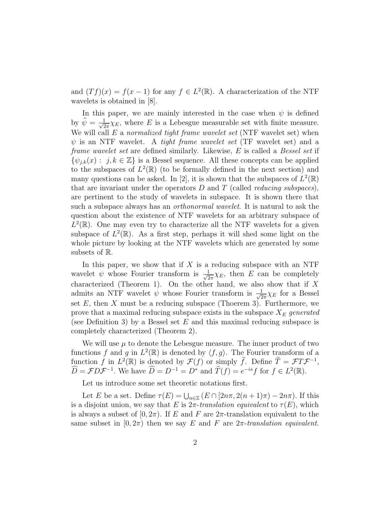and  $(Tf)(x) = f(x-1)$  for any  $f \in L^2(\mathbb{R})$ . A characterization of the NTF wavelets is obtained in [8].

In this paper, we are mainly interested in the case when  $\psi$  is defined by  $\hat{\psi} = \frac{1}{\sqrt{2}}$  $\frac{1}{2\pi}\chi_E$ , where E is a Lebesgue measurable set with finite measure. We will call  $E$  a normalized tight frame wavelet set (NTF wavelet set) when  $\psi$  is an NTF wavelet. A *tight frame wavelet set* (TF wavelet set) and a frame wavelet set are defined similarly. Likewise, E is called a Bessel set if  $\{\psi_{j,k}(x): j,k \in \mathbb{Z}\}\$ is a Bessel sequence. All these concepts can be applied to the subspaces of  $L^2(\mathbb{R})$  (to be formally defined in the next section) and many questions can be asked. In [2], it is shown that the subspaces of  $L^2(\mathbb{R})$ that are invariant under the operators  $D$  and  $T$  (called *reducing subspaces*), are pertinent to the study of wavelets in subspace. It is shown there that such a subspace always has an orthonormal wavelet. It is natural to ask the question about the existence of NTF wavelets for an arbitrary subspace of  $L^2(\mathbb{R})$ . One may even try to characterize all the NTF wavelets for a given subspace of  $L^2(\mathbb{R})$ . As a first step, perhaps it will shed some light on the whole picture by looking at the NTF wavelets which are generated by some subsets of R.

In this paper, we show that if  $X$  is a reducing subspace with an NTF wavelet  $\psi$  whose Fourier transform is  $\frac{1}{\sqrt{2}}$  $\frac{1}{2\pi}\chi_E$ , then E can be completely characterized (Theorem 1). On the other hand, we also show that if  $X$ admits an NTF wavelet  $\psi$  whose Fourier transform is  $\frac{1}{\sqrt{2}}$  $\frac{1}{2\pi}\chi_E$  for a Bessel set  $E$ , then  $X$  must be a reducing subspace (Thoerem 3). Furthermore, we prove that a maximal reducing subspace exists in the subspace  $X_E$  generated (see Definition 3) by a Bessel set  $E$  and this maximal reducing subspace is completely characterized (Theorem 2).

We will use  $\mu$  to denote the Lebesgue measure. The inner product of two functions f and g in  $L^2(\mathbb{R})$  is denoted by  $\langle f, g \rangle$ . The Fourier transform of a function f in  $L^2(\mathbb{R})$  is denoted by  $\mathcal{F}(f)$  or simply f. Define  $\hat{T} = \mathcal{F}T\mathcal{F}^{-1}$ ,  $\widehat{D} = \mathcal{F} D \mathcal{F}^{-1}$ . We have  $\widehat{D} = D^{-1} = D^*$  and  $\widehat{T}(f) = e^{-is} f$  for  $f \in L^2(\mathbb{R})$ .

Let us introduce some set theoretic notations first.

Let E be a set. Define  $\tau(E) = \bigcup_{n \in \mathbb{Z}} (E \cap [2n\pi, 2(n+1)\pi) - 2n\pi)$ . If this is a disjoint union, we say that E is  $2\pi$ -translation equivalent to  $\tau(E)$ , which is always a subset of  $[0, 2\pi)$ . If E and F are  $2\pi$ -translation equivalent to the same subset in  $[0, 2\pi)$  then we say E and F are  $2\pi$ -translation equivalent.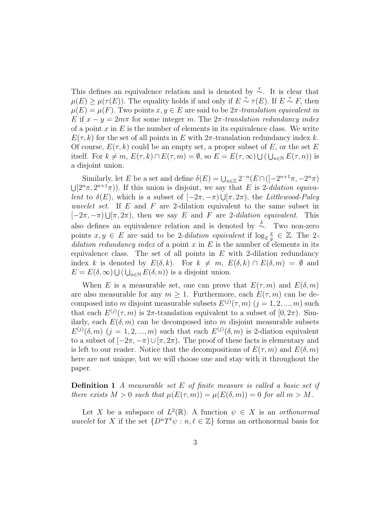This defines an equivalence relation and is denoted by  $\frac{\tau}{\gamma}$ . It is clear that  $\mu(E) \geq \mu(\tau(E))$ . The equality holds if and only if  $E \stackrel{\tau}{\sim} \tau(E)$ . If  $E \stackrel{\tau}{\sim} F$ , then  $\mu(E) = \mu(F)$ . Two points  $x, y \in E$  are said to be  $2\pi$ -translation equivalent in E if  $x - y = 2m\pi$  for some integer m. The  $2\pi$ -translation redundancy index of a point  $x$  in  $E$  is the number of elements in its equivalence class. We write  $E(\tau, k)$  for the set of all points in E with  $2\pi$ -translation redundancy index k. Of course,  $E(\tau, k)$  could be an empty set, a proper subset of E, or the set E itself. For  $k \neq m$ ,  $E(\tau, k) \cap E(\tau, m) = \emptyset$ , so  $E = E(\tau, \infty) \cup (\bigcup_{n \in \mathbb{N}} E(\tau, n))$  is a disjoint union.

Similarly, let E be a set and define  $\delta(E) = \bigcup_{n \in \mathbb{Z}} 2^{-n} (E \cap (\lceil -2^{n+1} \pi, -2^n \pi \rceil))$  $\bigcup [2^n \pi, 2^{n+1} \pi)$ . If this union is disjoint, we say that E is 2-dilation equivalent to  $\delta(E)$ , which is a subset of  $[-2\pi, -\pi] \cup [\pi, 2\pi)$ , the Littlewood-Paley *wavelet set.* If  $E$  and  $F$  are 2-dilation equivalent to the same subset in  $[-2\pi, -\pi] \cup [\pi, 2\pi]$ , then we say E and F are 2-dilation equivalent. This also defines an equivalence relation and is denoted by  $\stackrel{\delta}{\sim}$ . Two non-zero points  $x, y \in E$  are said to be 2-dilation equivalent if  $\log_2 \frac{x}{y}$  $\frac{x}{y} \in \mathbb{Z}$ . The 2dilation redundancy index of a point x in  $E$  is the number of elements in its equivalence class. The set of all points in  $E$  with 2-dilation redundancy index k is denoted by  $E(\delta, k)$ . For  $k \neq m$ ,  $E(\delta, k) \cap E(\delta, m) = \emptyset$  and  $E = E(\delta, \infty) \cup (\bigcup_{n \in \mathbb{N}} E(\delta, n))$  is a disjoint union.

When E is a measurable set, one can prove that  $E(\tau, m)$  and  $E(\delta, m)$ are also measurable for any  $m \geq 1$ . Furthermore, each  $E(\tau, m)$  can be decomposed into m disjoint measurable subsets  $E^{(j)}(\tau,m)$   $(j = 1, 2, ..., m)$  such that each  $E^{(j)}(\tau,m)$  is  $2\pi$ -translation equivalent to a subset of  $[0,2\pi)$ . Similarly, each  $E(\delta, m)$  can be decomposed into m disjoint measurable subsets  $E^{(j)}(\delta, m)$   $(j = 1, 2, ..., m)$  such that each  $E^{(j)}(\delta, m)$  is 2-diation equivalent to a subset of  $[-2\pi, -\pi] \cup [\pi, 2\pi]$ . The proof of these facts is elementary and is left to our reader. Notice that the decompositions of  $E(\tau, m)$  and  $E(\delta, m)$ here are not unique, but we will choose one and stay with it throughout the paper.

**Definition 1** A measurable set  $E$  of finite measure is called a basic set if there exists  $M > 0$  such that  $\mu(E(\tau,m)) = \mu(E(\delta,m)) = 0$  for all  $m > M$ .

Let X be a subspace of  $L^2(\mathbb{R})$ . A function  $\psi \in X$  is an orthonormal wavelet for X if the set  $\{D^n T^{\ell} \psi : n, \ell \in \mathbb{Z}\}$  forms an orthonormal basis for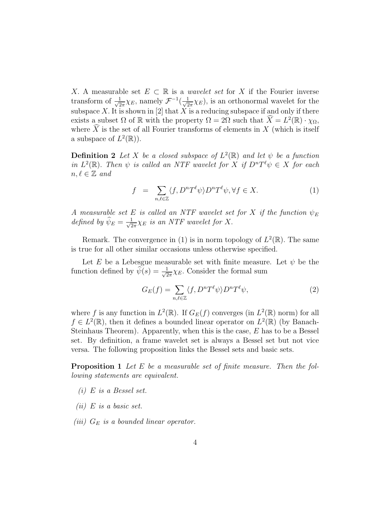X. A measurable set  $E \subset \mathbb{R}$  is a *wavelet set* for X if the Fourier inverse transform of  $\frac{1}{\sqrt{2}}$  $\frac{1}{2\pi}\chi_E$ , namely  $\mathcal{F}^{-1}(\frac{1}{\sqrt{2}})$  $\frac{1}{2\pi}\chi_E$ , is an orthonormal wavelet for the subspace X. It is shown in [2] that  $\overline{X}$  is a reducing subspace if and only if there exists a subset  $\Omega$  of  $\mathbb R$  with the property  $\Omega = 2\Omega$  such that  $\widetilde{X} = L^2(\mathbb R) \cdot \chi_{\Omega}$ , where  $\widehat{X}$  is the set of all Fourier transforms of elements in X (which is itself a subspace of  $L^2(\mathbb{R})$ .

**Definition 2** Let X be a closed subspace of  $L^2(\mathbb{R})$  and let  $\psi$  be a function in  $L^2(\mathbb{R})$ . Then  $\psi$  is called an NTF wavelet for X if  $D^nT^{\ell}\psi \in X$  for each  $n, \ell \in \mathbb{Z}$  and

$$
f = \sum_{n,\ell \in \mathbb{Z}} \langle f, D^n T^\ell \psi \rangle D^n T^\ell \psi, \forall f \in X. \tag{1}
$$

A measurable set E is called an NTF wavelet set for X if the function  $\psi_E$ defined by  $\widehat{\psi}_E = \frac{1}{\sqrt{2}}$  $\frac{1}{2\pi}\chi_E$  is an NTF wavelet for X.

Remark. The convergence in (1) is in norm topology of  $L^2(\mathbb{R})$ . The same is true for all other similar occasions unless otherwise specified.

Let E be a Lebesgue measurable set with finite measure. Let  $\psi$  be the function defined by  $\hat{\psi}(s) = \frac{1}{\sqrt{2}}$  $\frac{1}{2\pi}\chi_E$ . Consider the formal sum

$$
G_E(f) = \sum_{n,\ell \in \mathbb{Z}} \langle f, D^n T^\ell \psi \rangle D^n T^\ell \psi,
$$
\n(2)

where f is any function in  $L^2(\mathbb{R})$ . If  $G_E(f)$  converges (in  $L^2(\mathbb{R})$  norm) for all  $f \in L^2(\mathbb{R})$ , then it defines a bounded linear operator on  $L^2(\mathbb{R})$  (by Banach-Steinhaus Theorem). Apparently, when this is the case,  $E$  has to be a Bessel set. By definition, a frame wavelet set is always a Bessel set but not vice versa. The following proposition links the Bessel sets and basic sets.

**Proposition 1** Let E be a measurable set of finite measure. Then the following statements are equivalent.

- $(i)$  E is a Bessel set.
- (*ii*)  $E$  is a basic set.
- (iii)  $G_E$  is a bounded linear operator.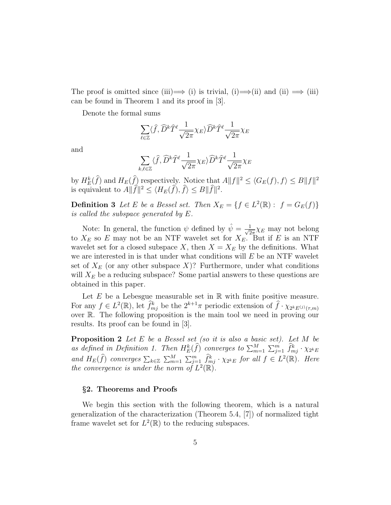The proof is omitted since (iii)  $\implies$  (i) is trivial, (i)  $\implies$  (ii) and (ii)  $\implies$  (iii) can be found in Theorem 1 and its proof in [3].

Denote the formal sums

$$
\sum_{\ell \in \mathbb{Z}} \langle \widehat{f}, \widehat{D}^k \widehat{T}^\ell \frac{1}{\sqrt{2\pi}} \chi_E \rangle \widehat{D}^k \widehat{T}^\ell \frac{1}{\sqrt{2\pi}} \chi_E
$$

and

$$
\sum_{k,\ell\in\mathbb{Z}} \langle \widehat{f}, \widehat{D}^k \widehat{T}^\ell \frac{1}{\sqrt{2\pi}} \chi_E \rangle \widehat{D}^k \widehat{T}^\ell \frac{1}{\sqrt{2\pi}} \chi_E
$$

by  $H_E^k(\hat{f})$  and  $H_E(\hat{f})$  respectively. Notice that  $A||f||^2 \leq \langle G_E(f), f \rangle \leq B||f||^2$ is equivalent to  $A||\hat{f}||^2 \le \langle H_E(\hat{f}), \hat{f} \rangle \le B||\hat{f}||^2$ .

**Definition 3** Let E be a Bessel set. Then  $X_E = \{f \in L^2(\mathbb{R}) : f = G_E(f)\}\$ is called the subspace generated by E.

Note: In general, the function  $\psi$  defined by  $\hat{\psi} = \frac{1}{\sqrt{2}}$  $\frac{1}{2\pi}\chi_E$  may not belong to  $X_E$  so E may not be an NTF wavelet set for  $X_E$ . But if E is an NTF wavelet set for a closed subspace X, then  $X = X_E$  by the definitions. What we are interested in is that under what conditions will  $E$  be an NTF wavelet set of  $X_E$  (or any other subspace X)? Furthermore, under what conditions will  $X_E$  be a reducing subspace? Some partial answers to these questions are obtained in this paper.

Let  $E$  be a Lebesgue measurable set in  $\mathbb R$  with finite positive measure. For any  $f \in L^2(\mathbb{R})$ , let  $\hat{f}_{mj}^k$  be the  $2^{k+1}\pi$  periodic extension of  $\hat{f} \cdot \chi_{2^k E^{(j)}(\tau,m)}$ over R. The following proposition is the main tool we need in proving our results. Its proof can be found in [3].

**Proposition 2** Let E be a Bessel set (so it is also a basic set). Let M be as defined in Definition 1. Then  $H_E^k(\widehat{f})$  converges to  $\sum_{m=1}^M \sum_{j=1}^m \widehat{f}_{mj}^k \cdot \chi_{2^k E}$ and  $H_E(\widehat{f})$  converges  $\sum_{k\in\mathbb{Z}}\sum_{m=1}^M\sum_{j=1}^m\widehat{f}_{mj}^k\cdot\chi_{2^k E}$  for all  $f\in L^2(\mathbb{R})$ . Here the convergence is under the norm of  $L^2(\mathbb{R})$ .

#### §2. Theorems and Proofs

We begin this section with the following theorem, which is a natural generalization of the characterization (Theorem 5.4, [7]) of normalized tight frame wavelet set for  $L^2(\mathbb{R})$  to the reducing subspaces.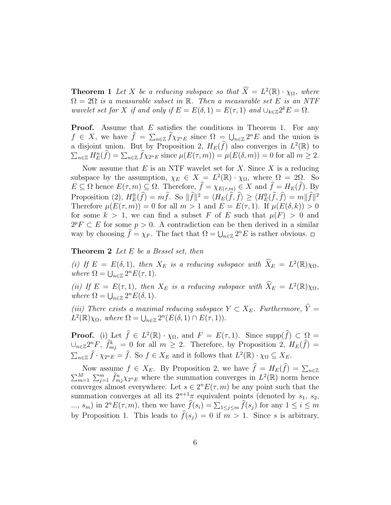**Theorem 1** Let X be a reducing subspace so that  $\widehat{X} = L^2(\mathbb{R}) \cdot \chi_{\Omega}$ , where  $\Omega = 2\Omega$  is a measurable subset in R. Then a measurable set E is an NTF wavelet set for X if and only if  $E = E(\delta, 1) = E(\tau, 1)$  and  $\bigcup_{k \in \mathbb{Z}} 2^k E = \Omega$ .

**Proof.** Assume that E satisfies the conditions in Theorem 1. For any  $f \in X$ , we have  $\hat{f} = \sum_{n \in \mathbb{Z}} \hat{f} \chi_{2^n E}$  since  $\Omega = \bigcup_{n \in \mathbb{Z}} 2^n E$  and the union is a disjoint union. But by Proposition 2,  $H_E(\hat{f})$  also converges in  $L^2(\mathbb{R})$  to  $\sum_{n\in\mathbb{Z}} H_E^n(\hat{f}) = \sum_{n\in\mathbb{Z}} \hat{f} \chi_{2^n E}$  since  $\mu(E(\tau,m)) = \mu(E(\delta,m)) = 0$  for all  $m \geq 2$ .

Now assume that  $E$  is an NTF wavelet set for  $X$ . Since  $X$  is a reducing subspace by the assumption,  $\chi_E \in X = L^2(\mathbb{R}) \cdot \chi_{\Omega}$ , where  $\Omega = 2\Omega$ . So  $E \subseteq \Omega$  hence  $E(\tau,m) \subseteq \Omega$ . Therefore,  $f = \chi_{E(\tau,m)} \in X$  and  $f = H_E(f)$ . By Proposition (2),  $H_E^0(f) = mf$ . So  $\|\hat{f}\|^2 = \langle H_E(\hat{f}, \hat{f}) \rangle \ge \langle H_E^0(\hat{f}, \hat{f}) \rangle = m\|\hat{f}\|^2$ Therefore  $\mu(E(\tau,m)) = 0$  for all  $m > 1$  and  $E = E(\tau,1)$ . If  $\mu(E(\delta,k)) > 0$ for some  $k > 1$ , we can find a subset F of E such that  $\mu(F) > 0$  and  $2^p F \subset E$  for some  $p > 0$ . A contradiction can be then derived in a similar way by choosing  $\hat{f} = \chi_F$ . The fact that  $\Omega = \bigcup_{n \in \mathbb{Z}} 2^n E$  is rather obvious.

**Theorem 2** Let  $E$  be a Bessel set, then

(i) If  $E = E(\delta, 1)$ , then  $X_E$  is a reducing subspace with  $\widehat{X}_E = L^2(\mathbb{R})\chi_{\Omega}$ , where  $\Omega = \bigcup_{n \in \mathbb{Z}} 2^n E(\tau, 1)$ .

(ii) If  $E = E(\tau, 1)$ , then  $X_E$  is a reducing subspace with  $\widehat{X}_E = L^2(\mathbb{R})\chi_{\Omega}$ , where  $\Omega = \bigcup_{n \in \mathbb{Z}} 2^n E(\delta, 1)$ .

(iii) There exists a maximal reducing subspace  $Y \subset X_E$ . Furthermore,  $\hat{Y} =$  $L^2(\mathbb{R})\chi_{\Omega}$ , where  $\Omega = \bigcup_{n\in\mathbb{Z}} 2^n(E(\delta,1) \cap E(\tau,1)).$ 

**Proof.** (i) Let  $\hat{f} \in L^2(\mathbb{R}) \cdot \chi_{\Omega}$ , and  $F = E(\tau, 1)$ . Since supp $(\hat{f}) \subset \Omega$  $\cup_{n\in\mathbb{Z}}2^n$ F,  $\hat{f}_{mj}^k=0$  for all  $m\geq 2$ . Therefore, by Proposition 2,  $H_E(\hat{f})=$  $\sum_{n\in\mathbb{Z}}\hat{f}\cdot\chi_{2^nE}=\hat{f}$ . So  $f\in X_E$  and it follows that  $L^2(\mathbb{R})\cdot\chi_{\Omega}\subseteq X_E$ .

Now assume  $f \in X_E$ . By Proposition 2, we have  $\hat{f} = H_E(\hat{f}) = \sum_{\hat{f} \in \hat{f}} f(\hat{f})$ Now assume  $j \in \Lambda_E$ . By Proposition 2, we have  $j = n_E(j) = \sum_{n \in \mathbb{Z}} \Sigma_{n=1}^M \sum_{j=1}^m \hat{f}_{mj}^n \chi_{2^n E}$  where the summation converges in  $L^2(\mathbb{R})$  norm hence converges almost everywhere. Let  $s \in 2^n E(\tau, m)$  be any point such that the summation converges at all its  $2^{n+1}\pi$  equivalent points (denoted by  $s_1$ ,  $s_2$ , ...,  $s_m$ ) in  $2^n E(\tau, m)$ , then we have  $\widehat{f}(s_i) = \sum_{1 \leq j \leq m} \widehat{f}(s_j)$  for any  $1 \leq i \leq m$ by Proposition 1. This leads to  $\hat{f}(s_i) = 0$  if  $m > 1$ . Since s is arbitrary,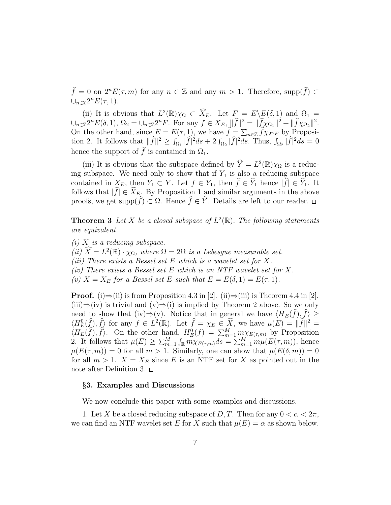$\widehat{f} = 0$  on  $2^n E(\tau, m)$  for any  $n \in \mathbb{Z}$  and any  $m > 1$ . Therefore, supp $(\widehat{f}) \subset$  $\cup_{n\in\mathbb{Z}}2^nE(\tau,1).$ 

(ii) It is obvious that  $L^2(\mathbb{R})\chi_{\Omega} \subset \widetilde{X}_E$ . Let  $F = E\backslash E(\delta, 1)$  and  $\Omega_1 =$  $\bigcup_{n\in\mathbb{Z}}2^nE(\delta,1),\,\Omega_2=\bigcup_{n\in\mathbb{Z}}2^nF.$  For any  $f\in X_E$ ,  $\|\widehat{f}\|^2=\|\widehat{f}\chi_{\Omega_1}\|^2+\|\widehat{f}\chi_{\Omega_2}\|^2.$ On the other hand, since  $E = E(\tau, 1)$ , we have  $\hat{f} = \sum_{n \in \mathbb{Z}} \hat{f} \chi_{2^n E}$  by Proposition 2. It follows that  $\|\widehat{f}\|^2 \geq \int_{\Omega_1} |\widehat{f}|^2 ds + 2 \int_{\Omega_2} |\widehat{f}|^2 ds$ . Thus,  $\int_{\Omega_2} |\widehat{f}|^2 ds = 0$ hence the support of  $\hat{f}$  is contained in  $\Omega_1$ .

(iii) It is obvious that the subspace defined by  $\hat{Y} = L^2(\mathbb{R})\chi_{\Omega}$  is a reducing subspace. We need only to show that if  $Y_1$  is also a reducing subspace contained in  $X_E$ , then  $Y_1 \subset Y$ . Let  $f \in Y_1$ , then  $f \in Y_1$  hence  $|f| \in Y_1$ . It follows that  $|f| \in X_{E}$ . By Proposition 1 and similar arguments in the above proofs, we get supp $(f)$  ⊂ Ω. Hence  $f$  ∈  $Y$ . Details are left to our reader.

**Theorem 3** Let X be a closed subspace of  $L^2(\mathbb{R})$ . The following statements are equivalent.

 $(i)$  X is a reducing subspace.

(ii)  $\widehat{X} = L^2(\mathbb{R}) \cdot \chi_{\Omega}$ , where  $\Omega = 2\Omega$  is a Lebesgue measurable set.

- (iii) There exists a Bessel set E which is a wavelet set for  $X$ .
- (iv) There exists a Bessel set E which is an NTF wavelet set for  $X$ .
- (v)  $X = X_E$  for a Bessel set E such that  $E = E(\delta, 1) = E(\tau, 1)$ .

**Proof.** (i)⇒(ii) is from Proposition 4.3 in [2]. (ii)⇒(iii) is Theorem 4.4 in [2].  $(iii) \Rightarrow (iv)$  is trivial and  $(v) \Rightarrow (i)$  is implied by Theorem 2 above. So we only need to show that (iv)⇒(v). Notice that in general we have  $\langle H_E(f), f \rangle \ge$  $\langle H_{E}^{0}(\hat{f}), \hat{f} \rangle$  for any  $f \in L^{2}(\mathbb{R})$ . Let  $\hat{f} = \chi_{E} \in \hat{X}$ , we have  $\mu(E) = ||\hat{f}||^{2} =$  $\langle H_E(\hat{f}), \hat{f} \rangle$ . On the other hand,  $H_E^0(f) = \sum_{m=1}^M m \chi_{E(\tau,m)}$  by Proposition 2. It follows that  $\mu(E) \geq \sum_{m=1}^{M} \int_{\mathbb{R}} m \chi_{E(\tau,m)} ds = \sum_{m=1}^{M} m \mu(E(\tau, m))$ , hence  $\mu(E(\tau,m)) = 0$  for all  $m > 1$ . Similarly, one can show that  $\mu(E(\delta,m)) = 0$ for all  $m > 1$ .  $X = X_E$  since E is an NTF set for X as pointed out in the note after Definition 3.  $\Box$ 

## §3. Examples and Discussions

We now conclude this paper with some examples and discussions.

1. Let X be a closed reducing subspace of D, T. Then for any  $0 < \alpha < 2\pi$ , we can find an NTF wavelet set E for X such that  $\mu(E) = \alpha$  as shown below.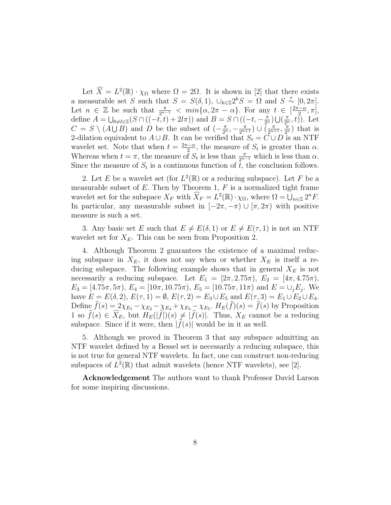Let  $\widehat{X} = L^2(\mathbb{R}) \cdot \chi_{\Omega}$  where  $\Omega = 2\Omega$ . It is shown in [2] that there exists a measurable set S such that  $S = S(\delta, 1)$ ,  $\cup_{k \in \mathbb{Z}} 2^k S = \Omega$  and  $S \sim [0, 2\pi]$ . Let  $n \in \mathbb{Z}$  be such that  $\frac{\pi}{2^{n-1}} < \min\{\alpha, 2\pi - \alpha\}$ . For any  $t \in \left[\frac{2\pi - \alpha}{2}, \pi\right]$ , define  $A = \bigcup_{0 \neq l \in \mathbb{Z}} (S \cap ((-t, t) + 2l\pi))$  and  $B = S \cap ((-t, -\frac{\pi}{2^n}) \cup (\frac{\pi}{2^n}, t))$ . Let  $C = S \setminus (A \cup B)$  and D be the subset of  $\left(-\frac{\pi}{2^n}, -\frac{\pi}{2^{n+1}}\right) \cup \left(\frac{\pi}{2^{n+1}}, \frac{\pi}{2^n}\right)$  that is 2-dilation equivalent to  $A \cup B$ . It can be verified that  $S_t = C \cup D$  is an NTF wavelet set. Note that when  $t = \frac{2\pi - \alpha}{2}$ , the measure of  $S_t$  is greater than  $\alpha$ . Whereas when  $t = \pi$ , the measure of  $S_t$  is less than  $\frac{\pi}{2^{n-1}}$  which is less than  $\alpha$ . Since the measure of  $S_t$  is a continuous function of t, the conclusion follows.

2. Let E be a wavelet set (for  $L^2(\mathbb{R})$  or a reducing subspace). Let F be a measurable subset of  $E$ . Then by Theorem 1,  $F$  is a normalized tight frame wavelet set for the subspace  $X_F$  with  $\widehat{X}_F = L^2(\mathbb{R}) \cdot \chi_{\Omega}$ , where  $\Omega = \bigcup_{n \in \mathbb{Z}} 2^n F$ . In particular, any measurable subset in  $[-2\pi, -\pi) \cup [\pi, 2\pi)$  with positive measure is such a set.

3. Any basic set E such that  $E \neq E(\delta, 1)$  or  $E \neq E(\tau, 1)$  is not an NTF wavelet set for  $X_E$ . This can be seen from Proposition 2.

4. Although Theorem 2 guarantees the existence of a maximal reducing subspace in  $X_E$ , it does not say when or whether  $X_E$  is itself a reducing subspace. The following example shows that in general  $X_E$  is not necessarily a reducing subspace. Let  $E_1 = [2\pi, 2.75\pi), E_2 = [4\pi, 4.75\pi),$  $E_3 = [4.75\pi, 5\pi], E_4 = [10\pi, 10.75\pi], E_5 = [10.75\pi, 11\pi] \text{ and } E = \cup_j E_j.$  We have  $E = E(\delta, 2), E(\tau, 1) = \emptyset, E(\tau, 2) = E_3 \cup E_5 \text{ and } E(\tau, 3) = E_1 \cup E_2 \cup E_4.$ Define  $f(s) = 2\chi_{E_1} - \chi_{E_2} - \chi_{E_4} + \chi_{E_3} - \chi_{E_5}$ .  $H_E(f)(s) = f(s)$  by Proposition 1 so  $f(s) \in X_E$ , but  $H_E(|f|)(s) \neq |f(s)|$ . Thus,  $X_E$  cannot be a reducing subspace. Since if it were, then  $|f(s)|$  would be in it as well.

5. Although we proved in Theorem 3 that any subspace admitting an NTF wavelet defined by a Bessel set is necessarily a reducing subspace, this is not true for general NTF wavelets. In fact, one can construct non-reducing subspaces of  $L^2(\mathbb{R})$  that admit wavelets (hence NTF wavelets), see [2].

Acknowledgement The authors want to thank Professor David Larson for some inspiring discussions.